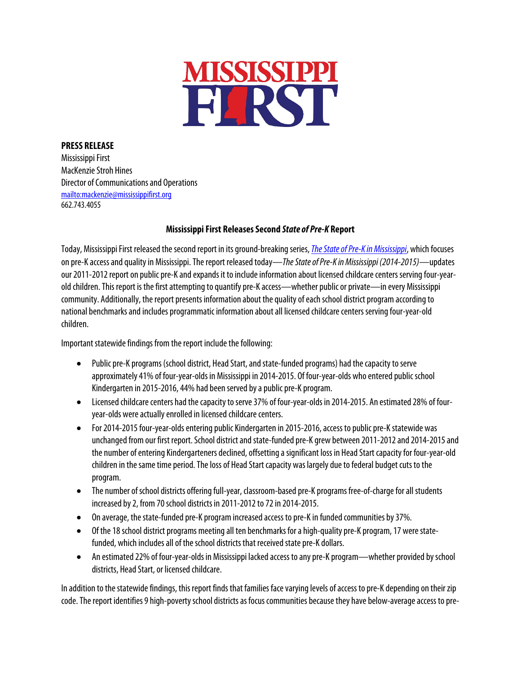

## **PRESS RELEASE**

Mississippi First MacKenzie Stroh Hines Director of Communications and Operations <mailto:mackenzie@mississippifirst.org> 662.743.4055

## **Mississippi First Releases Second** *State of Pre-K* **Report**

Today, Mississippi First released the second report in its ground-breaking series, *The State of Pre-K in Mississippi*, which focuses on pre-K accessandqualityin Mississippi.The report released today—*TheState of Pre-K in Mississippi (2014-2015)*—updates our 2011-2012 report on public pre-K and expands it to include information about licensed childcare centers serving four-yearold children. This report is the first attempting to quantify pre-K access—whether public or private—in every Mississippi community. Additionally, the report presents information about the quality of each school district program according to national benchmarks and includes programmatic information about all licensed childcare centers serving four-year-old children.

Important statewide findings from the report include the following:

- Public pre-K programs (school district, Head Start, and state-funded programs) had the capacity to serve approximately 41% of four-year-olds in Mississippi in 2014-2015. Of four-year-olds who entered public school Kindergarten in 2015-2016, 44% had been served by a public pre-K program.
- Licensed childcare centers had the capacity to serve 37% of four-year-olds in 2014-2015. An estimated 28% of fouryear-olds were actually enrolled in licensed childcare centers.
- For 2014-2015 four-year-olds entering public Kindergarten in 2015-2016, access to public pre-K statewide was unchanged from our first report. School district and state-funded pre-K grew between 2011-2012 and 2014-2015 and the number of entering Kindergarteners declined, offsetting asignificant loss in Head Start capacity for four-year-old children in the same time period.The loss of Head Start capacity was largely due to federal budget cuts to the program.
- The number of school districts offering full-year, classroom-based pre-K programs free-of-charge for all students increased by 2, from 70 school districts in 2011-2012 to 72 in 2014-2015.
- On average, the state-funded pre-K program increased access to pre-K in funded communities by 37%.
- Of the 18 school district programs meeting all ten benchmarks for a high-quality pre-K program, 17 were statefunded, which includes all of the school districts that received state pre-K dollars.
- An estimated 22% of four-year-olds in Mississippi lacked access to any pre-K program—whether provided by school districts, Head Start, or licensed childcare.

In addition to the statewide findings, this report finds that families face varying levels of access to pre-K depending on their zip code. The report identifies 9 high-poverty school districts as focus communities because they have below-average access to pre